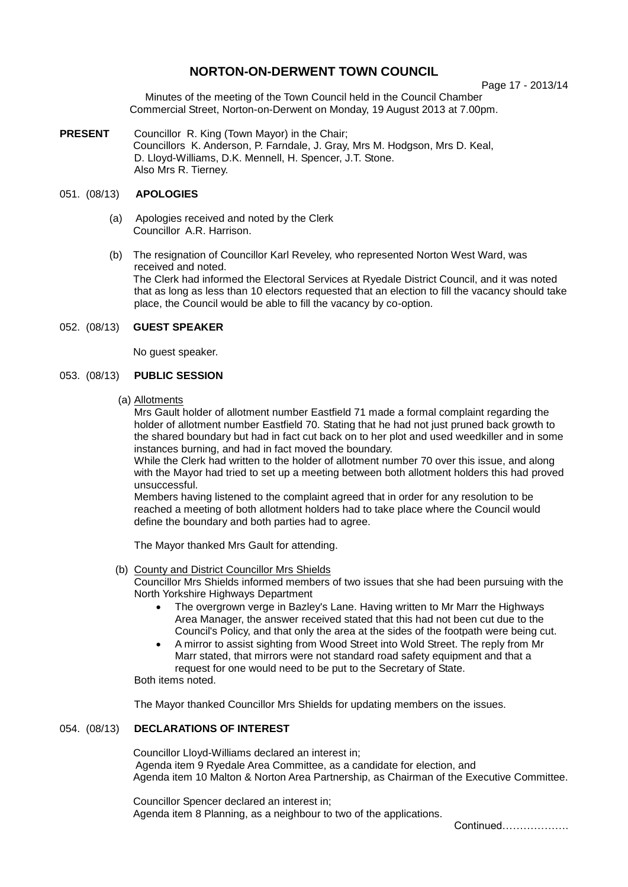# **NORTON-ON-DERWENT TOWN COUNCIL**

Page 17 - 2013/14

Minutes of the meeting of the Town Council held in the Council Chamber Commercial Street, Norton-on-Derwent on Monday, 19 August 2013 at 7.00pm.

**PRESENT** Councillor R. King (Town Mayor) in the Chair; Councillors K. Anderson, P. Farndale, J. Gray, Mrs M. Hodgson, Mrs D. Keal, D. Lloyd-Williams, D.K. Mennell, H. Spencer, J.T. Stone. Also Mrs R. Tierney.

## 051. (08/13) **APOLOGIES**

- (a) Apologies received and noted by the Clerk Councillor A.R. Harrison.
- (b) The resignation of Councillor Karl Reveley, who represented Norton West Ward, was received and noted. The Clerk had informed the Electoral Services at Ryedale District Council, and it was noted that as long as less than 10 electors requested that an election to fill the vacancy should take place, the Council would be able to fill the vacancy by co-option.

### 052. (08/13) **GUEST SPEAKER**

No guest speaker.

# 053. (08/13) **PUBLIC SESSION**

(a) Allotments

Mrs Gault holder of allotment number Eastfield 71 made a formal complaint regarding the holder of allotment number Eastfield 70. Stating that he had not just pruned back growth to the shared boundary but had in fact cut back on to her plot and used weedkiller and in some instances burning, and had in fact moved the boundary.

While the Clerk had written to the holder of allotment number 70 over this issue, and along with the Mayor had tried to set up a meeting between both allotment holders this had proved unsuccessful.

Members having listened to the complaint agreed that in order for any resolution to be reached a meeting of both allotment holders had to take place where the Council would define the boundary and both parties had to agree.

The Mayor thanked Mrs Gault for attending.

### (b) County and District Councillor Mrs Shields

Councillor Mrs Shields informed members of two issues that she had been pursuing with the North Yorkshire Highways Department

- The overgrown verge in Bazley's Lane. Having written to Mr Marr the Highways Area Manager, the answer received stated that this had not been cut due to the Council's Policy, and that only the area at the sides of the footpath were being cut.
- A mirror to assist sighting from Wood Street into Wold Street. The reply from Mr Marr stated, that mirrors were not standard road safety equipment and that a request for one would need to be put to the Secretary of State.

Both items noted.

The Mayor thanked Councillor Mrs Shields for updating members on the issues.

# 054. (08/13) **DECLARATIONS OF INTEREST**

 Councillor Lloyd-Williams declared an interest in; Agenda item 9 Ryedale Area Committee, as a candidate for election, and Agenda item 10 Malton & Norton Area Partnership, as Chairman of the Executive Committee.

Councillor Spencer declared an interest in; Agenda item 8 Planning, as a neighbour to two of the applications.

Continued……………….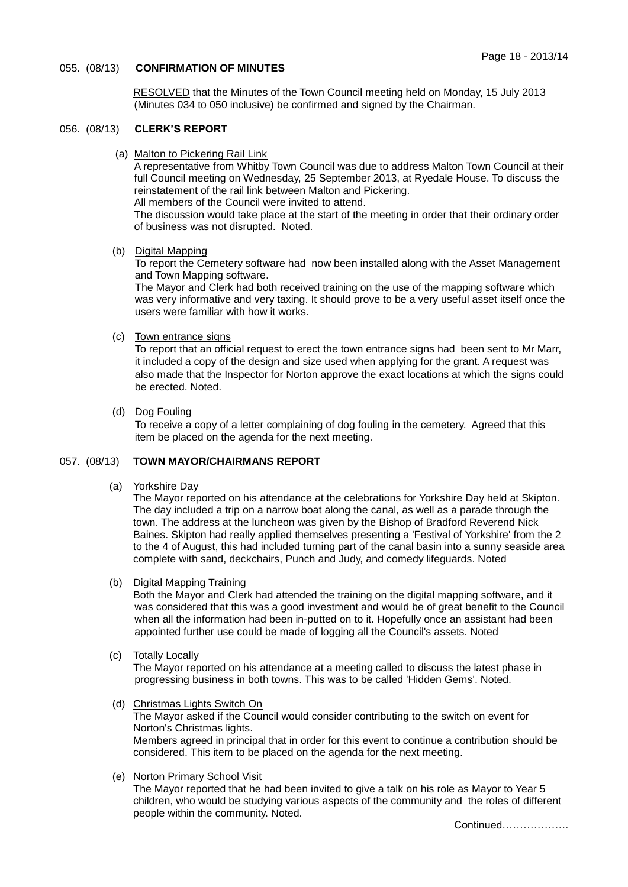### 055. (08/13) **CONFIRMATION OF MINUTES**

 RESOLVED that the Minutes of the Town Council meeting held on Monday, 15 July 2013 (Minutes 034 to 050 inclusive) be confirmed and signed by the Chairman.

### 056. (08/13) **CLERK'S REPORT**

(a) Malton to Pickering Rail Link

A representative from Whitby Town Council was due to address Malton Town Council at their full Council meeting on Wednesday, 25 September 2013, at Ryedale House. To discuss the reinstatement of the rail link between Malton and Pickering.

All members of the Council were invited to attend.

The discussion would take place at the start of the meeting in order that their ordinary order of business was not disrupted. Noted.

#### (b) Digital Mapping

To report the Cemetery software had now been installed along with the Asset Management and Town Mapping software.

The Mayor and Clerk had both received training on the use of the mapping software which was very informative and very taxing. It should prove to be a very useful asset itself once the users were familiar with how it works.

### (c) Town entrance signs

To report that an official request to erect the town entrance signs had been sent to Mr Marr, it included a copy of the design and size used when applying for the grant. A request was also made that the Inspector for Norton approve the exact locations at which the signs could be erected. Noted.

### (d) Dog Fouling

To receive a copy of a letter complaining of dog fouling in the cemetery. Agreed that this item be placed on the agenda for the next meeting.

### 057. (08/13) **TOWN MAYOR/CHAIRMANS REPORT**

(a) Yorkshire Day

The Mayor reported on his attendance at the celebrations for Yorkshire Day held at Skipton. The day included a trip on a narrow boat along the canal, as well as a parade through the town. The address at the luncheon was given by the Bishop of Bradford Reverend Nick Baines. Skipton had really applied themselves presenting a 'Festival of Yorkshire' from the 2 to the 4 of August, this had included turning part of the canal basin into a sunny seaside area complete with sand, deckchairs, Punch and Judy, and comedy lifeguards. Noted

(b) Digital Mapping Training

Both the Mayor and Clerk had attended the training on the digital mapping software, and it was considered that this was a good investment and would be of great benefit to the Council when all the information had been in-putted on to it. Hopefully once an assistant had been appointed further use could be made of logging all the Council's assets. Noted

(c) Totally Locally

The Mayor reported on his attendance at a meeting called to discuss the latest phase in progressing business in both towns. This was to be called 'Hidden Gems'. Noted.

(d) Christmas Lights Switch On

The Mayor asked if the Council would consider contributing to the switch on event for Norton's Christmas lights. Members agreed in principal that in order for this event to continue a contribution should be considered. This item to be placed on the agenda for the next meeting.

(e) Norton Primary School Visit

The Mayor reported that he had been invited to give a talk on his role as Mayor to Year 5 children, who would be studying various aspects of the community and the roles of different people within the community. Noted.

Continued……………….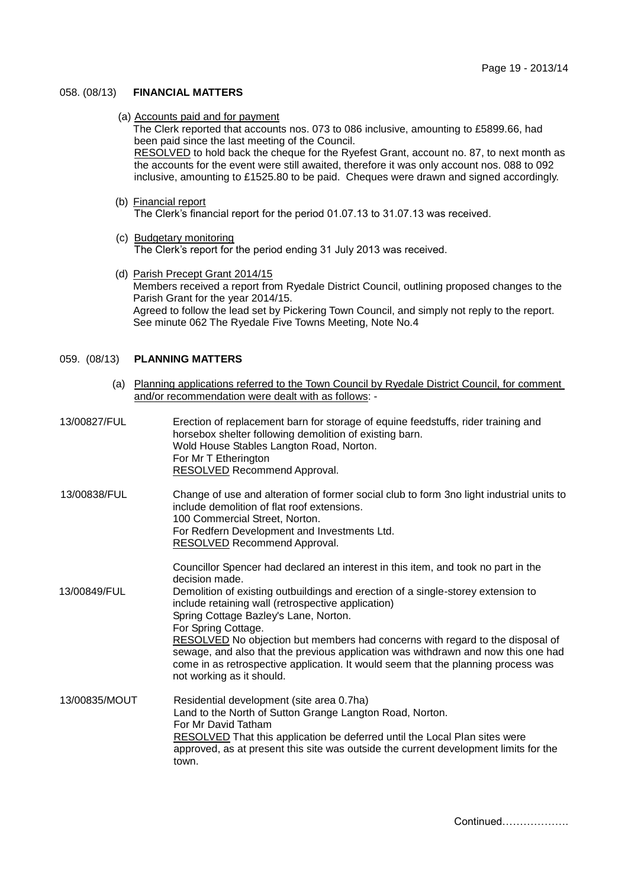### 058. (08/13) **FINANCIAL MATTERS**

(a) Accounts paid and for payment

The Clerk reported that accounts nos. 073 to 086 inclusive, amounting to £5899.66, had been paid since the last meeting of the Council. RESOLVED to hold back the cheque for the Ryefest Grant, account no. 87, to next month as the accounts for the event were still awaited, therefore it was only account nos. 088 to 092 inclusive, amounting to £1525.80 to be paid. Cheques were drawn and signed accordingly.

- (b) Financial report The Clerk's financial report for the period 01.07.13 to 31.07.13 was received.
- (c) Budgetary monitoring The Clerk's report for the period ending 31 July 2013 was received.
- (d) Parish Precept Grant 2014/15 Members received a report from Ryedale District Council, outlining proposed changes to the Parish Grant for the year 2014/15. Agreed to follow the lead set by Pickering Town Council, and simply not reply to the report. See minute 062 The Ryedale Five Towns Meeting, Note No.4

# 059. (08/13) **PLANNING MATTERS**

 (a) Planning applications referred to the Town Council by Ryedale District Council, for comment and/or recommendation were dealt with as follows: -

| 13/00827/FUL  | Erection of replacement barn for storage of equine feedstuffs, rider training and<br>horsebox shelter following demolition of existing barn.<br>Wold House Stables Langton Road, Norton.<br>For Mr T Etherington<br><b>RESOLVED Recommend Approval.</b>                                                                                                                                                                                                                                                                                                                                               |
|---------------|-------------------------------------------------------------------------------------------------------------------------------------------------------------------------------------------------------------------------------------------------------------------------------------------------------------------------------------------------------------------------------------------------------------------------------------------------------------------------------------------------------------------------------------------------------------------------------------------------------|
| 13/00838/FUL  | Change of use and alteration of former social club to form 3no light industrial units to<br>include demolition of flat roof extensions.<br>100 Commercial Street, Norton.<br>For Redfern Development and Investments Ltd.<br><b>RESOLVED Recommend Approval.</b>                                                                                                                                                                                                                                                                                                                                      |
| 13/00849/FUL  | Councillor Spencer had declared an interest in this item, and took no part in the<br>decision made.<br>Demolition of existing outbuildings and erection of a single-storey extension to<br>include retaining wall (retrospective application)<br>Spring Cottage Bazley's Lane, Norton.<br>For Spring Cottage.<br>RESOLVED No objection but members had concerns with regard to the disposal of<br>sewage, and also that the previous application was withdrawn and now this one had<br>come in as retrospective application. It would seem that the planning process was<br>not working as it should. |
| 13/00835/MOUT | Residential development (site area 0.7ha)<br>Land to the North of Sutton Grange Langton Road, Norton.<br>For Mr David Tatham<br><b>RESOLVED</b> That this application be deferred until the Local Plan sites were<br>approved, as at present this site was outside the current development limits for the<br>town.                                                                                                                                                                                                                                                                                    |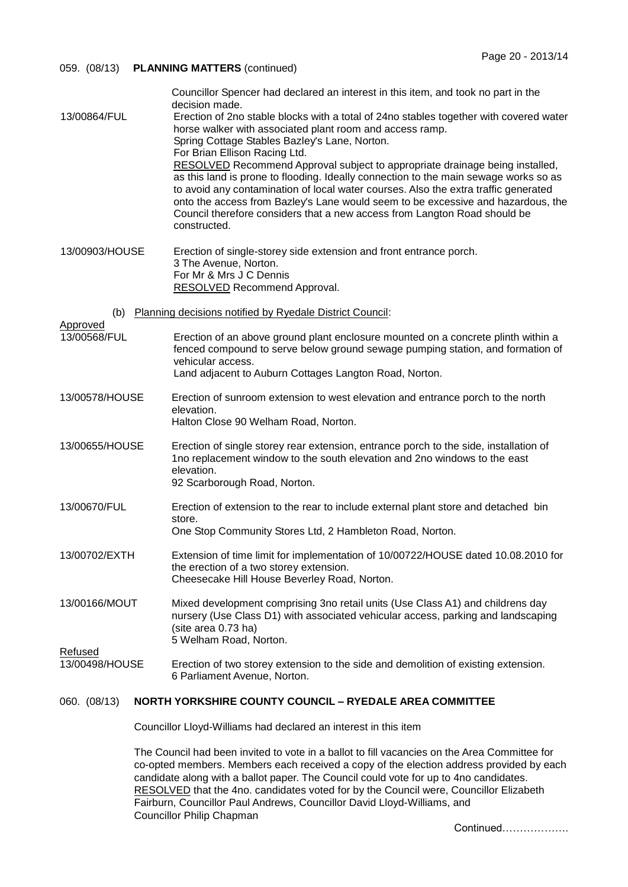| 059. (08/13)                                                                   | <b>PLANNING MATTERS (continued)</b>                                                                                                                                                                                                                                                                                                                                                                                                                                                                                                                                                                                                                                                                                                                                                         |  |
|--------------------------------------------------------------------------------|---------------------------------------------------------------------------------------------------------------------------------------------------------------------------------------------------------------------------------------------------------------------------------------------------------------------------------------------------------------------------------------------------------------------------------------------------------------------------------------------------------------------------------------------------------------------------------------------------------------------------------------------------------------------------------------------------------------------------------------------------------------------------------------------|--|
| 13/00864/FUL                                                                   | Councillor Spencer had declared an interest in this item, and took no part in the<br>decision made.<br>Erection of 2no stable blocks with a total of 24no stables together with covered water<br>horse walker with associated plant room and access ramp.<br>Spring Cottage Stables Bazley's Lane, Norton.<br>For Brian Ellison Racing Ltd.<br>RESOLVED Recommend Approval subject to appropriate drainage being installed,<br>as this land is prone to flooding. Ideally connection to the main sewage works so as<br>to avoid any contamination of local water courses. Also the extra traffic generated<br>onto the access from Bazley's Lane would seem to be excessive and hazardous, the<br>Council therefore considers that a new access from Langton Road should be<br>constructed. |  |
| 13/00903/HOUSE                                                                 | Erection of single-storey side extension and front entrance porch.<br>3 The Avenue, Norton.<br>For Mr & Mrs J C Dennis<br><b>RESOLVED Recommend Approval.</b>                                                                                                                                                                                                                                                                                                                                                                                                                                                                                                                                                                                                                               |  |
| (b)                                                                            | Planning decisions notified by Ryedale District Council:                                                                                                                                                                                                                                                                                                                                                                                                                                                                                                                                                                                                                                                                                                                                    |  |
| <b>Approved</b><br>13/00568/FUL                                                | Erection of an above ground plant enclosure mounted on a concrete plinth within a<br>fenced compound to serve below ground sewage pumping station, and formation of<br>vehicular access.<br>Land adjacent to Auburn Cottages Langton Road, Norton.                                                                                                                                                                                                                                                                                                                                                                                                                                                                                                                                          |  |
| 13/00578/HOUSE                                                                 | Erection of sunroom extension to west elevation and entrance porch to the north<br>elevation.<br>Halton Close 90 Welham Road, Norton.                                                                                                                                                                                                                                                                                                                                                                                                                                                                                                                                                                                                                                                       |  |
| 13/00655/HOUSE                                                                 | Erection of single storey rear extension, entrance porch to the side, installation of<br>1no replacement window to the south elevation and 2no windows to the east<br>elevation.<br>92 Scarborough Road, Norton.                                                                                                                                                                                                                                                                                                                                                                                                                                                                                                                                                                            |  |
| 13/00670/FUL                                                                   | Erection of extension to the rear to include external plant store and detached bin<br>store.<br>One Stop Community Stores Ltd, 2 Hambleton Road, Norton.                                                                                                                                                                                                                                                                                                                                                                                                                                                                                                                                                                                                                                    |  |
| 13/00702/EXTH                                                                  | Extension of time limit for implementation of 10/00722/HOUSE dated 10.08.2010 for<br>the erection of a two storey extension.<br>Cheesecake Hill House Beverley Road, Norton.                                                                                                                                                                                                                                                                                                                                                                                                                                                                                                                                                                                                                |  |
| 13/00166/MOUT<br><b>Refused</b>                                                | Mixed development comprising 3no retail units (Use Class A1) and childrens day<br>nursery (Use Class D1) with associated vehicular access, parking and landscaping<br>(site area 0.73 ha)<br>5 Welham Road, Norton.                                                                                                                                                                                                                                                                                                                                                                                                                                                                                                                                                                         |  |
| 13/00498/HOUSE                                                                 | Erection of two storey extension to the side and demolition of existing extension.<br>6 Parliament Avenue, Norton.                                                                                                                                                                                                                                                                                                                                                                                                                                                                                                                                                                                                                                                                          |  |
| <b>NORTH YORKSHIRE COUNTY COUNCIL - RYEDALE AREA COMMITTEE</b><br>060. (08/13) |                                                                                                                                                                                                                                                                                                                                                                                                                                                                                                                                                                                                                                                                                                                                                                                             |  |
|                                                                                | Councillor Lloyd-Williams had declared an interest in this item                                                                                                                                                                                                                                                                                                                                                                                                                                                                                                                                                                                                                                                                                                                             |  |

The Council had been invited to vote in a ballot to fill vacancies on the Area Committee for co-opted members. Members each received a copy of the election address provided by each candidate along with a ballot paper. The Council could vote for up to 4no candidates. RESOLVED that the 4no. candidates voted for by the Council were, Councillor Elizabeth Fairburn, Councillor Paul Andrews, Councillor David Lloyd-Williams, and Councillor Philip Chapman